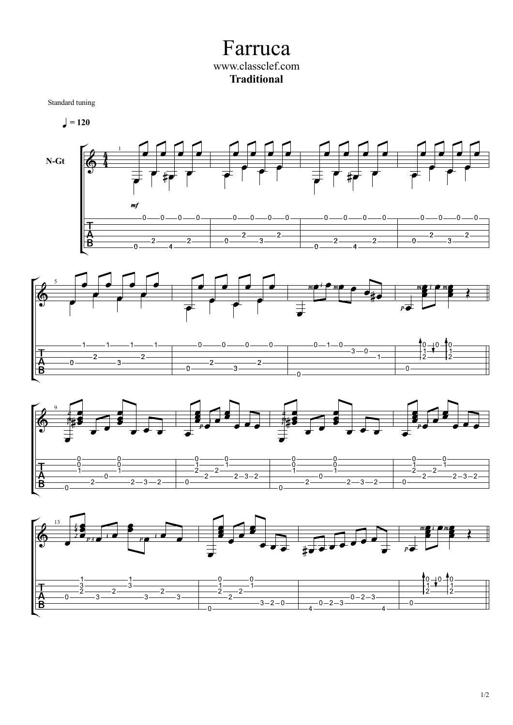Farruca www.classclef.com **Traditional**

Standard tuning